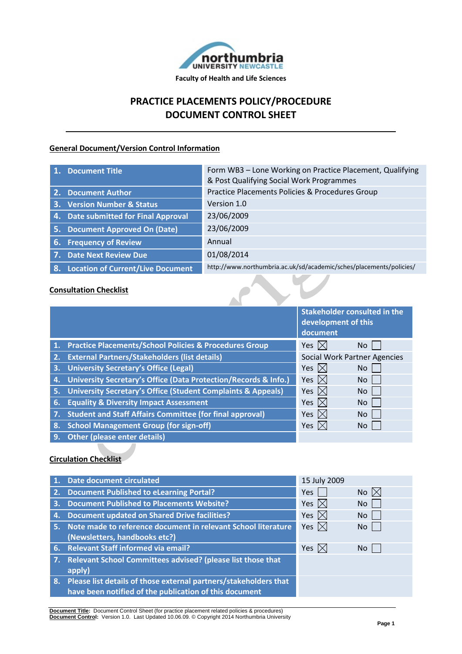

# **PRACTICE PLACEMENTS POLICY/PROCEDURE DOCUMENT CONTROL SHEET**

# **General Document/Version Control Information**

|    | 1. Document Title                        | Form WB3 - Lone Working on Practice Placement, Qualifying<br>& Post Qualifying Social Work Programmes |
|----|------------------------------------------|-------------------------------------------------------------------------------------------------------|
|    | 2. Document Author                       | Practice Placements Policies & Procedures Group                                                       |
|    | 3. Version Number & Status               | Version 1.0                                                                                           |
|    | 4. Date submitted for Final Approval     | 23/06/2009                                                                                            |
|    | 5. Document Approved On (Date)           | 23/06/2009                                                                                            |
|    | 6. Frequency of Review                   | Annual                                                                                                |
|    | 7. Date Next Review Due                  | 01/08/2014                                                                                            |
| 8. | <b>Location of Current/Live Document</b> | http://www.northumbria.ac.uk/sd/academic/sches/placements/policies/                                   |

# **Consultation Checklist**

|    |                                                                         | <b>Stakeholder consulted in the</b><br>development of this<br>document |           |
|----|-------------------------------------------------------------------------|------------------------------------------------------------------------|-----------|
|    | 1. Practice Placements/School Policies & Procedures Group               | Yes $ \times $                                                         | No.       |
| 2. | <b>External Partners/Stakeholders (list details)</b>                    | <b>Social Work Partner Agencies</b>                                    |           |
| 3. | <b>University Secretary's Office (Legal)</b>                            | Yes $\boxtimes$                                                        | No        |
| 4. | University Secretary's Office (Data Protection/Records & Info.)         | Yes $\boxtimes$                                                        | <b>No</b> |
| 5. | <b>University Secretary's Office (Student Complaints &amp; Appeals)</b> | Yes $\boxtimes$                                                        | <b>No</b> |
| 6. | <b>Equality &amp; Diversity Impact Assessment</b>                       | Yes $\boxtimes$                                                        | <b>No</b> |
|    | <b>Student and Staff Affairs Committee (for final approval)</b>         | Yes $\boxtimes$                                                        | <b>No</b> |
| 8. | <b>School Management Group (for sign-off)</b>                           | Yes $\mathbb{X}$                                                       | No.       |
| 9. | <b>Other (please enter details)</b>                                     |                                                                        |           |

#### **Circulation Checklist**

| $\mathbf{1}$ . | <b>Date document circulated</b>                                     | 15 July 2009    |                |
|----------------|---------------------------------------------------------------------|-----------------|----------------|
| 2.             | <b>Document Published to eLearning Portal?</b>                      | Yes             | No $\boxtimes$ |
| 3.             | <b>Document Published to Placements Website?</b>                    | Yes $\boxtimes$ | N <sub>o</sub> |
| 4.             | <b>Document updated on Shared Drive facilities?</b>                 | Yes $\boxtimes$ | N <sub>o</sub> |
|                | 5. Note made to reference document in relevant School literature    | Yes $\boxtimes$ | No.            |
|                | (Newsletters, handbooks etc?)                                       |                 |                |
|                | 6. Relevant Staff informed via email?                               | Yes $ \times $  | No.            |
| 7.             | Relevant School Committees advised? (please list those that         |                 |                |
|                | apply)                                                              |                 |                |
|                | 8. Please list details of those external partners/stakeholders that |                 |                |
|                | have been notified of the publication of this document              |                 |                |
|                |                                                                     |                 |                |

**Document Title:** Document Control Sheet (for practice placement related policies & procedures) **Document Control:** Version 1.0. Last Updated 10.06.09. © Copyright 2014 Northumbria University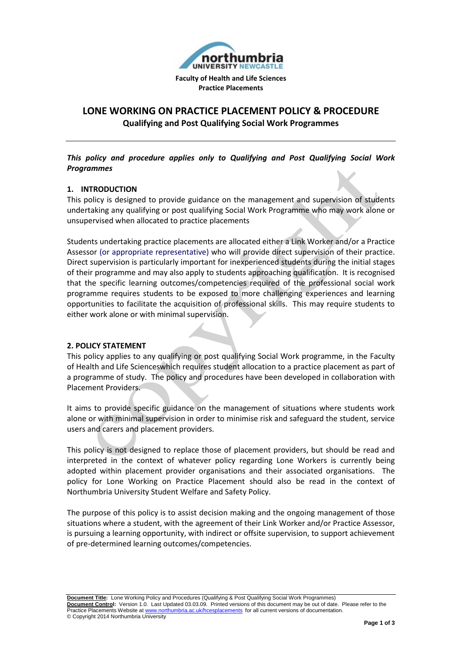

# **LONE WORKING ON PRACTICE PLACEMENT POLICY & PROCEDURE**

**Qualifying and Post Qualifying Social Work Programmes**

### *This policy and procedure applies only to Qualifying and Post Qualifying Social Work Programmes*

# **1. INTRODUCTION**

This policy is designed to provide guidance on the management and supervision of students undertaking any qualifying or post qualifying Social Work Programme who may work alone or unsupervised when allocated to practice placements

Students undertaking practice placements are allocated either a Link Worker and/or a Practice Assessor (or appropriate representative) who will provide direct supervision of their practice. Direct supervision is particularly important for inexperienced students during the initial stages of their programme and may also apply to students approaching qualification. It is recognised that the specific learning outcomes/competencies required of the professional social work programme requires students to be exposed to more challenging experiences and learning opportunities to facilitate the acquisition of professional skills. This may require students to either work alone or with minimal supervision.

#### **2. POLICY STATEMENT**

This policy applies to any qualifying or post qualifying Social Work programme, in the Faculty of Health and Life Scienceswhich requires student allocation to a practice placement as part of a programme of study. The policy and procedures have been developed in collaboration with Placement Providers.

It aims to provide specific guidance on the management of situations where students work alone or with minimal supervision in order to minimise risk and safeguard the student, service users and carers and placement providers.

This policy is not designed to replace those of placement providers, but should be read and interpreted in the context of whatever policy regarding Lone Workers is currently being adopted within placement provider organisations and their associated organisations. The policy for Lone Working on Practice Placement should also be read in the context of Northumbria University Student Welfare and Safety Policy.

The purpose of this policy is to assist decision making and the ongoing management of those situations where a student, with the agreement of their Link Worker and/or Practice Assessor, is pursuing a learning opportunity, with indirect or offsite supervision, to support achievement of pre-determined learning outcomes/competencies.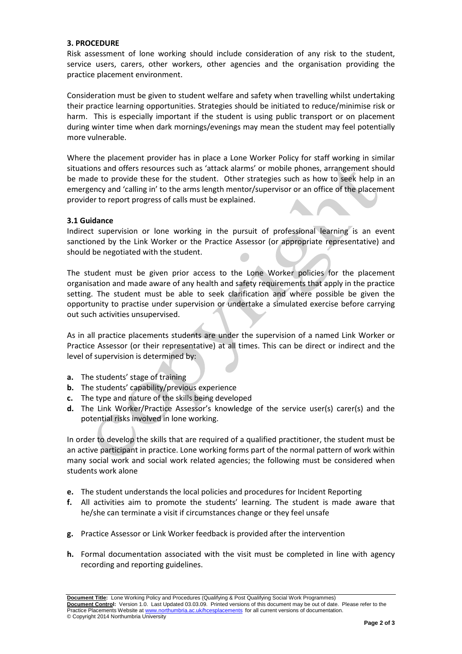#### **3. PROCEDURE**

Risk assessment of lone working should include consideration of any risk to the student, service users, carers, other workers, other agencies and the organisation providing the practice placement environment.

Consideration must be given to student welfare and safety when travelling whilst undertaking their practice learning opportunities. Strategies should be initiated to reduce/minimise risk or harm. This is especially important if the student is using public transport or on placement during winter time when dark mornings/evenings may mean the student may feel potentially more vulnerable.

Where the placement provider has in place a Lone Worker Policy for staff working in similar situations and offers resources such as 'attack alarms' or mobile phones, arrangement should be made to provide these for the student. Other strategies such as how to seek help in an emergency and 'calling in' to the arms length mentor/supervisor or an office of the placement provider to report progress of calls must be explained.

#### **3.1 Guidance**

Indirect supervision or lone working in the pursuit of professional learning is an event sanctioned by the Link Worker or the Practice Assessor (or appropriate representative) and should be negotiated with the student.

The student must be given prior access to the Lone Worker policies for the placement organisation and made aware of any health and safety requirements that apply in the practice setting. The student must be able to seek clarification and where possible be given the opportunity to practise under supervision or undertake a simulated exercise before carrying out such activities unsupervised.

As in all practice placements students are under the supervision of a named Link Worker or Practice Assessor (or their representative) at all times. This can be direct or indirect and the level of supervision is determined by:

- **a.** The students' stage of training
- **b.** The students' capability/previous experience
- **c.** The type and nature of the skills being developed
- **d.** The Link Worker/Practice Assessor's knowledge of the service user(s) carer(s) and the potential risks involved in lone working.

In order to develop the skills that are required of a qualified practitioner, the student must be an active participant in practice. Lone working forms part of the normal pattern of work within many social work and social work related agencies; the following must be considered when students work alone

- **e.** The student understands the local policies and procedures for Incident Reporting
- **f.** All activities aim to promote the students' learning. The student is made aware that he/she can terminate a visit if circumstances change or they feel unsafe
- **g.** Practice Assessor or Link Worker feedback is provided after the intervention
- **h.** Formal documentation associated with the visit must be completed in line with agency recording and reporting guidelines.